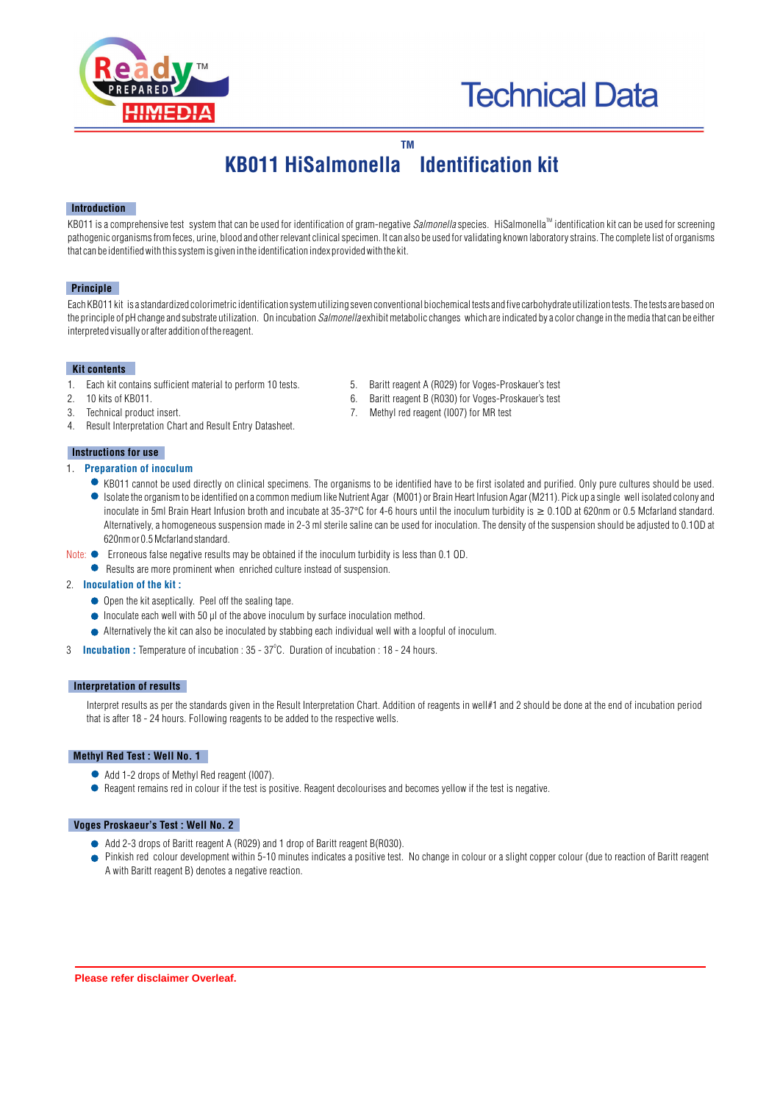

# **Technical Data**

# **TM KB011 HiSalmonella Identification kit**

#### **Introduction**

KB011 is a comprehensive test system that can be used for identification of gram-negative *Salmonella* species. HiSalmonella<sup>™</sup> identification kit can be used for screening pathogenic organisms from feces, urine, blood and other relevant clinical specimen. It can also be used for validating known laboratory strains. The complete list of organisms that can be identified with this system is given in the identification index provided with the kit.

#### **Principle**

Each KB011 kit is a standardized colorimetric identification system utilizing seven conventional biochemical tests and five carbohydrate utilization tests. The tests are based on the principle of pH change and substrate utilization. On incubation *Salmonella* exhibit metabolic changes which are indicated by a color change in the media that can be either interpreted visually or after addition of the reagent.

#### **Kit contents**

- 1. Each kit contains sufficient material to perform 10 tests. 5. Baritt reagent A (R029) for Voges-Proskauer's test<br>10 kits of KR011
- 
- 
- 4. Result Interpretation Chart and Result Entry Datasheet.

#### **Instructions for use**

- 1. **Preparation of inoculum** 
	- KB011 cannot be used directly on clinical specimens. The organisms to be identified have to be first isolated and purified. Only pure cultures should be used. Isolate the organism to be identified on a common medium like Nutrient Agar (M001) or Brain Heart Infusion Agar (M211). Pick up a single well isolated colony and inoculate in 5ml Brain Heart Infusion broth and incubate at 35-37°C for 4-6 hours until the inoculum turbidity is  $\geq 0.10D$  at 620nm or 0.5 Mcfarland standard. Alternatively, a homogeneous suspension made in 2-3 ml sterile saline can be used for inoculation. The density of the suspension should be adjusted to 0.1OD at 620nm or 0.5 Mcfarland standard.
- Note:  $\bullet$  Erroneous talse negative results may be obtained if the inoculum turbidity is less than 0.1 OD.
	- Results are more prominent when enriched culture instead of suspension.

#### 2. **Inoculation of the kit :**

- Open the kit aseptically. Peel off the sealing tape.
- $\bullet$  Inoculate each well with 50  $\mu$ l of the above inoculum by surface inoculation method.
- Alternatively the kit can also be inoculated by stabbing each individual well with a loopful of inoculum.
- 3 **Incubation :** Temperature of incubation : 35 37°C. Duration of incubation : 18 24 hours.

#### **Interpretation of results**

Interpret results as per the standards given in the Result Interpretation Chart. Addition of reagents in well#1 and 2 should be done at the end of incubation period that is after 18 - 24 hours. Following reagents to be added to the respective wells.

#### **Methyl Red Test : Well No. 1**

- Add 1-2 drops of Methyl Red reagent (I007).
- Reagent remains red in colour if the test is positive. Reagent decolourises and becomes yellow if the test is negative.

#### **Voges Proskaeur's Test : Well No. 2**

- Add 2-3 drops of Baritt reagent A (R029) and 1 drop of Baritt reagent B(R030).
- Pinkish red colour development within 5-10 minutes indicates a positive test. No change in colour or a slight copper colour (due to reaction of Baritt reagent A with Baritt reagent B) denotes a negative reaction.
- 
- 2. 10 kits of KB011.<br>
2. 10 kits of KB011.<br>
2. Methyl red reagent (I007) for MR test<br>
3. Technical product insert.
- 3. Technical product insert. 7. Methyl red reagent (I007) for MR test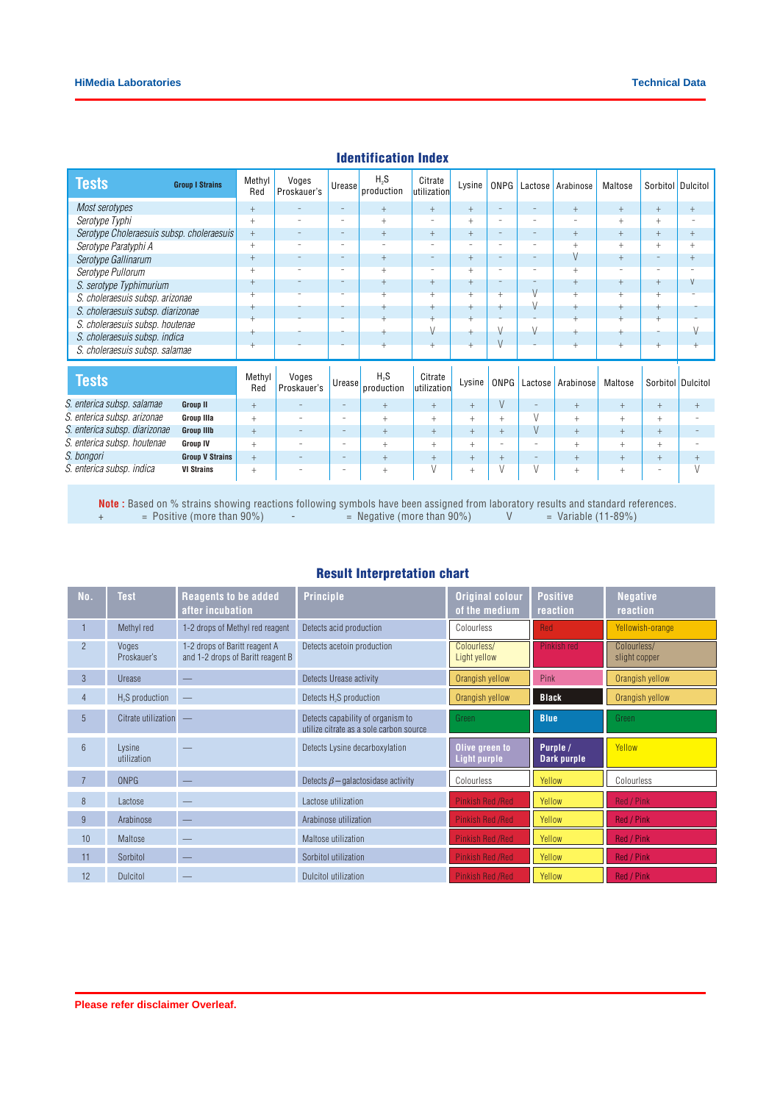| Tests                                     | <b>Group I Strains</b> | Methyl<br>Red | Voges<br>Proskauer's     | Urease                   | H <sub>2</sub> S<br>production | Citrate<br>utilization   | Lysine                   | ONPG                     | Lactose                  | Arabinose | Maltose                  | Sorbitol                 | <b>Dulcitol</b>          |
|-------------------------------------------|------------------------|---------------|--------------------------|--------------------------|--------------------------------|--------------------------|--------------------------|--------------------------|--------------------------|-----------|--------------------------|--------------------------|--------------------------|
| Most serotypes                            |                        | $+$           | $\qquad \qquad -$        | $\overline{\phantom{a}}$ | $+$                            | $+$                      | $+$                      | ۰                        | ۰                        | $+$       | $+$                      | $+$                      | $+$                      |
| Serotype Typhi                            |                        |               | ٠                        | $\qquad \qquad -$        | $^{+}$                         | $\overline{\phantom{a}}$ | $+$                      | ٠                        | ٠                        |           | $+$                      | $^{+}$                   |                          |
| Serotype Choleraesuis subsp. choleraesuis |                        | $+$           | $\overline{\phantom{a}}$ | $\overline{\phantom{a}}$ | $+$                            | $\! + \!\!\!\!$          | $+$                      | $\qquad \qquad -$        | $\qquad \qquad -$        | $+$       | $+$                      | $+$                      | $+$                      |
| Serotype Paratyphi A                      |                        | $^{+}$        | $\overline{\phantom{a}}$ | $\sim$                   | ۰                              | $\sim$                   | $\overline{\phantom{a}}$ | $\overline{\phantom{0}}$ | $\overline{\phantom{a}}$ | $+$       | $^{+}$                   | $+$                      | $+$                      |
| Serotype Gallinarum                       |                        | $^{+}$        | $\overline{\phantom{a}}$ | $\overline{\phantom{a}}$ | $+$                            | $\qquad \qquad -$        | $+$                      | $\overline{\phantom{0}}$ | $\overline{\phantom{0}}$ | V         | $+$                      | $\overline{\phantom{a}}$ | $+$                      |
| Serotype Pullorum                         |                        | $+$           | $\overline{\phantom{a}}$ | $\sim$                   | $+$                            | $\overline{\phantom{a}}$ | $+$                      | $\overline{\phantom{a}}$ | $\sim$                   | $+$       | $\overline{\phantom{a}}$ | $\overline{\phantom{a}}$ | $\overline{\phantom{a}}$ |
| S. serotype Typhimurium                   |                        | $^{+}$        |                          | $\qquad \qquad -$        | $^{+}$                         | $^{+}$                   | $^{+}$                   | -                        |                          | $+$       | $^{+}$                   | $+$                      | V                        |
| S. choleraesuis subsp. arizonae           |                        | +             |                          | ٠                        |                                | $+$                      |                          | $+$                      | $\vee$                   |           | $+$                      | $\overline{+}$           |                          |
| S. choleraesuis subsp. diarizonae         |                        |               |                          |                          |                                | $\ddot{}$                |                          | $+$                      | V                        |           | $\ddot{}$                | $\ddot{}$                |                          |
| S. choleraesuis subsp. houtenae           |                        |               |                          |                          |                                | $\ddot{}$<br>V           |                          | V                        | V                        |           | $\ddot{}$                |                          |                          |
| S. choleraesuis subsp. indica             |                        |               |                          |                          |                                | $\ddot{}$                |                          | $\vee$                   |                          |           | $+$<br>$\ddot{}$         |                          |                          |
| S. choleraesuis subsp. salamae            |                        |               |                          |                          |                                |                          |                          |                          |                          |           |                          |                          |                          |
| <b>Tests</b>                              |                        | Methyl<br>Red | Voges<br>Proskauer's     | Urease                   | H <sub>2</sub> S<br>production | Citrate<br>utilization   | Lysine                   | ONPG                     | Lactose                  | Arabinose | Maltose                  |                          | Sorbitol Dulcitol        |
| S. enterica subsp. salamae                | Group II               | $+$           | $\overline{\phantom{a}}$ | $\qquad \qquad -$        | $+$                            | $^{+}$                   | $+$                      | V                        | $\qquad \qquad -$        | $+$       | $+$                      | $+$                      | $+$                      |
| S. enterica subsp. arizonae               | <b>Group IIIa</b>      | $^{+}$        | ۰.                       | $\overline{\phantom{0}}$ | $^{+}$                         | $^{+}$                   | $^{+}$                   | $^{+}$                   | V                        | $^{+}$    | $+$                      | $^{+}$                   |                          |
| S. enterica subsp. diarizonae             | <b>Group IIIb</b>      | $+$           | $\overline{\phantom{a}}$ | $\qquad \qquad -$        | $+$                            | $+$                      | $+$                      | $+$                      | V                        | $+$       | $+$                      | $+$                      |                          |
| S. enterica subsp. houtenae               | <b>Group IV</b>        | $^{+}$        | ۰.                       | $\overline{\phantom{0}}$ | $^{+}$                         | $+$                      | $^{+}$                   | ٠                        | $\overline{\phantom{a}}$ | $+$       | $^{+}$                   | $^{+}$                   |                          |
| S. bongori                                | <b>Group V Strains</b> | $+$           | $\overline{\phantom{a}}$ | $\qquad \qquad -$        | $+$                            | $+$                      | $+$                      | $+$                      | $\overline{\phantom{a}}$ | $+$       | $^{+}$                   | $+$                      | $+$                      |
| S. enterica subsp. indica                 | <b>VI Strains</b>      | $^{+}$        | $\overline{\phantom{a}}$ | $\overline{\phantom{0}}$ | $^{+}$                         | $\vee$                   | $^{+}$                   | V                        | V                        | $+$       | $^{+}$                   | $\overline{\phantom{a}}$ |                          |

### Identification Index

**Note :** Based on % strains showing reactions following symbols have been assigned from laboratory results and standard references. + = Positive (more than 90%) - = Negative (more than 90%) V = Variable (11-89%)

## Result Interpretation chart

| No.            | <b>Test</b>                 | <b>Reagents to be added</b><br>after incubation                    | <b>Principle</b>                                                             | <b>Original colour</b><br>of the medium | <b>Positive</b><br>reaction | <b>Negative</b><br>reaction  |
|----------------|-----------------------------|--------------------------------------------------------------------|------------------------------------------------------------------------------|-----------------------------------------|-----------------------------|------------------------------|
|                | Methyl red                  | 1-2 drops of Methyl red reagent                                    | Detects acid production                                                      | Colourless                              | <b>Red</b>                  | Yellowish-orange             |
| $\overline{2}$ | Voges<br>Proskauer's        | 1-2 drops of Baritt reagent A<br>and 1-2 drops of Baritt reagent B | Detects acetoin production                                                   | Colourless/<br>Light yellow             | Pinkish red                 | Colourless/<br>slight copper |
| 3              | Urease                      |                                                                    | Detects Urease activity                                                      | Orangish yellow                         | <b>Pink</b>                 | Orangish yellow              |
| $\overline{4}$ | H <sub>2</sub> S production |                                                                    | Detects H <sub>2</sub> S production                                          | Orangish yellow                         | <b>Black</b>                | Orangish yellow              |
| 5              | Citrate utilization         | $\overline{\phantom{m}}$                                           | Detects capability of organism to<br>utilize citrate as a sole carbon source | Green                                   | <b>Blue</b>                 | Green                        |
| 6              | Lysine<br>utilization       |                                                                    | Detects Lysine decarboxylation                                               | Olive green to<br><b>Light purple</b>   | Purple /<br>Dark purple     | Yellow                       |
|                |                             |                                                                    |                                                                              |                                         |                             |                              |
|                | <b>ONPG</b>                 |                                                                    | Detects $\beta$ – galactosidase activity                                     | Colourless                              | Yellow                      | Colourless                   |
| 8              | Lactose                     |                                                                    | Lactose utilization                                                          | <b>Pinkish Red /Red</b>                 | Yellow                      | Red / Pink                   |
| 9              | Arabinose                   |                                                                    | Arabinose utilization                                                        | <b>Pinkish Red /Red</b>                 | Yellow                      | <b>Red / Pink</b>            |
| 10             | Maltose                     |                                                                    | Maltose utilization                                                          | <b>Pinkish Red /Red</b>                 | Yellow                      | <b>Red / Pink</b>            |
| 11             | Sorbitol                    |                                                                    | Sorbitol utilization                                                         | <b>Pinkish Red /Red</b>                 | Yellow                      | Red / Pink                   |